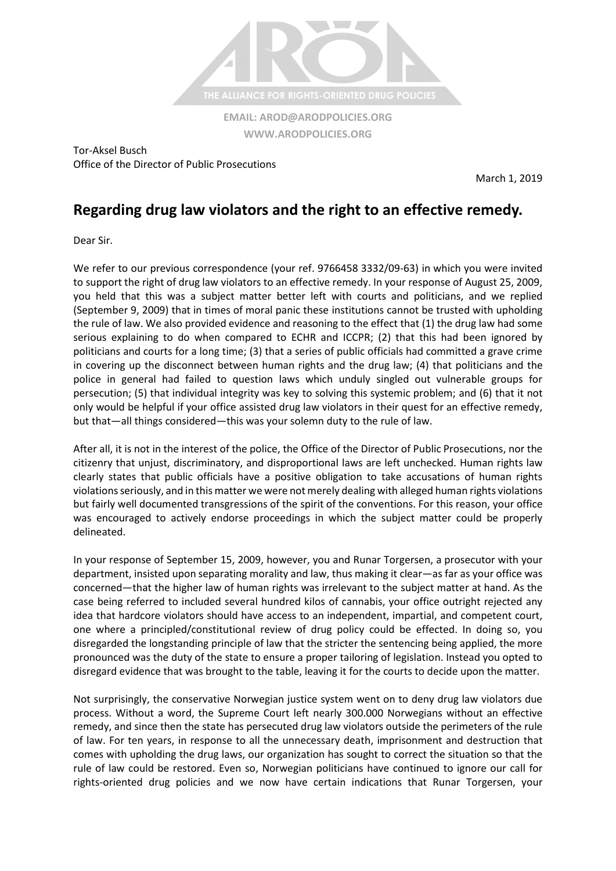

**[WWW.ARODPOLICIES.ORG](http://www.arodpolicies.org/)**

Tor-Aksel Busch Office of the Director of Public Prosecutions

March 1, 2019

## **Regarding drug law violators and the right to an effective remedy.**

Dear Sir.

We refer to our previous correspondence (your ref. 9766458 3332/09-63) in which you were invited to support the right of drug law violators to an effective remedy. In your response of August 25, 2009, you held that this was a subject matter better left with courts and politicians, and we replied (September 9, 2009) that in times of moral panic these institutions cannot be trusted with upholding the rule of law. We also provided evidence and reasoning to the effect that (1) the drug law had some serious explaining to do when compared to ECHR and ICCPR; (2) that this had been ignored by politicians and courts for a long time; (3) that a series of public officials had committed a grave crime in covering up the disconnect between human rights and the drug law; (4) that politicians and the police in general had failed to question laws which unduly singled out vulnerable groups for persecution; (5) that individual integrity was key to solving this systemic problem; and (6) that it not only would be helpful if your office assisted drug law violators in their quest for an effective remedy, but that—all things considered—this was your solemn duty to the rule of law.

After all, it is not in the interest of the police, the Office of the Director of Public Prosecutions, nor the citizenry that unjust, discriminatory, and disproportional laws are left unchecked. Human rights law clearly states that public officials have a positive obligation to take accusations of human rights violations seriously, and in this matter we were not merely dealing with alleged human rights violations but fairly well documented transgressions of the spirit of the conventions. For this reason, your office was encouraged to actively endorse proceedings in which the subject matter could be properly delineated.

In your response of September 15, 2009, however, you and Runar Torgersen, a prosecutor with your department, insisted upon separating morality and law, thus making it clear—as far as your office was concerned—that the higher law of human rights was irrelevant to the subject matter at hand. As the case being referred to included several hundred kilos of cannabis, your office outright rejected any idea that hardcore violators should have access to an independent, impartial, and competent court, one where a principled/constitutional review of drug policy could be effected. In doing so, you disregarded the longstanding principle of law that the stricter the sentencing being applied, the more pronounced was the duty of the state to ensure a proper tailoring of legislation. Instead you opted to disregard evidence that was brought to the table, leaving it for the courts to decide upon the matter.

Not surprisingly, the conservative Norwegian justice system went on to deny drug law violators due process. Without a word, the Supreme Court left nearly 300.000 Norwegians without an effective remedy, and since then the state has persecuted drug law violators outside the perimeters of the rule of law. For ten years, in response to all the unnecessary death, imprisonment and destruction that comes with upholding the drug laws, our organization has sought to correct the situation so that the rule of law could be restored. Even so, Norwegian politicians have continued to ignore our call for rights-oriented drug policies and we now have certain indications that Runar Torgersen, your